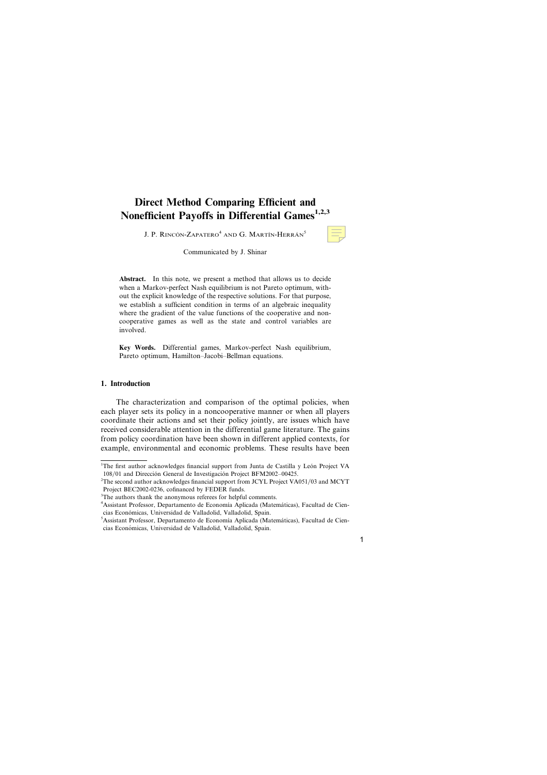# **Direct Method Comparing Efficient and Nonefficient Payoffs in Differential Games1,2,3**

J. P. RINCÓN-ZAPATERO<sup>4</sup> AND G. MARTÍN-HERRÁN<sup>5</sup>

Communicated by J. Shinar

**Abstract.** In this note, we present a method that allows us to decide when a Markov-perfect Nash equilibrium is not Pareto optimum, without the explicit knowledge of the respective solutions. For that purpose, we establish a sufficient condition in terms of an algebraic inequality where the gradient of the value functions of the cooperative and noncooperative games as well as the state and control variables are involved.

**Key Words.** Differential games, Markov-perfect Nash equilibrium, Pareto optimum, Hamilton–Jacobi–Bellman equations.

#### **1. Introduction**

The characterization and comparison of the optimal policies, when each player sets its policy in a noncooperative manner or when all players coordinate their actions and set their policy jointly, are issues which have received considerable attention in the differential game literature. The gains from policy coordination have been shown in different applied contexts, for example, environmental and economic problems. These results have been

<sup>&</sup>lt;sup>1</sup>The first author acknowledges financial support from Junta de Castilla y León Project VA 108/01 and Dirección General de Investigación Project BFM2002–00425.

<sup>&</sup>lt;sup>2</sup>The second author acknowledges financial support from JCYL Project VA051/03 and MCYT Project BEC2002-0236, cofinanced by FEDER funds.

<sup>&</sup>lt;sup>3</sup>The authors thank the anonymous referees for helpful comments.

<sup>&</sup>lt;sup>4</sup> Assistant Professor, Departamento de Economía Aplicada (Matemáticas), Facultad de Ciencias Económicas, Universidad de Valladolid, Valladolid, Spain.

<sup>&</sup>lt;sup>5</sup> Assistant Professor, Departamento de Economía Aplicada (Matemáticas), Facultad de Ciencias Económicas, Universidad de Valladolid, Valladolid, Spain.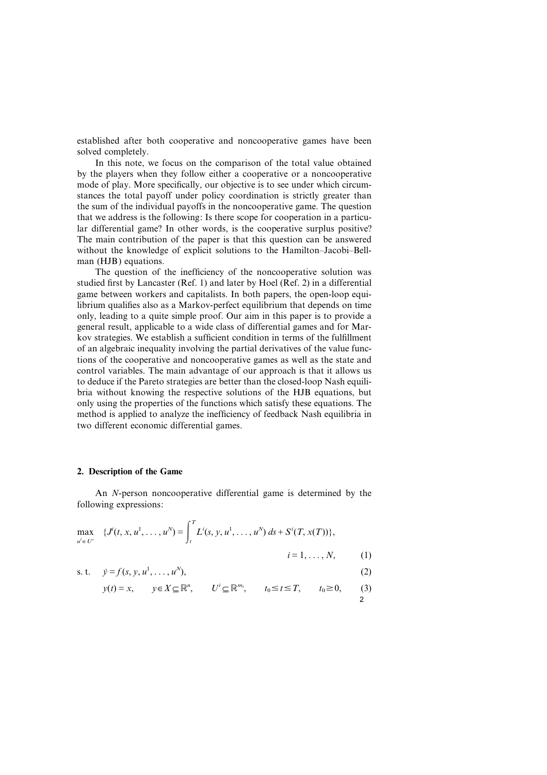established after both cooperative and noncooperative games have been solved completely.

In this note, we focus on the comparison of the total value obtained by the players when they follow either a cooperative or a noncooperative mode of play. More specifically, our objective is to see under which circumstances the total payoff under policy coordination is strictly greater than the sum of the individual payoffs in the noncooperative game. The question that we address is the following: Is there scope for cooperation in a particular differential game? In other words, is the cooperative surplus positive? The main contribution of the paper is that this question can be answered without the knowledge of explicit solutions to the Hamilton–Jacobi–Bellman (HJB) equations.

The question of the inefficiency of the noncooperative solution was studied first by Lancaster (Ref. 1) and later by Hoel (Ref. 2) in a differential game between workers and capitalists. In both papers, the open-loop equilibrium qualifies also as a Markov-perfect equilibrium that depends on time only, leading to a quite simple proof. Our aim in this paper is to provide a general result, applicable to a wide class of differential games and for Markov strategies. We establish a sufficient condition in terms of the fulfillment of an algebraic inequality involving the partial derivatives of the value functions of the cooperative and noncooperative games as well as the state and control variables. The main advantage of our approach is that it allows us to deduce if the Pareto strategies are better than the closed-loop Nash equilibria without knowing the respective solutions of the HJB equations, but only using the properties of the functions which satisfy these equations. The method is applied to analyze the inefficiency of feedback Nash equilibria in two different economic differential games.

## **2. Description of the Game**

An *N*-person noncooperative differential game is determined by the following expressions:

$$
\max_{u' \in U'} \quad \{ J^i(t, x, u^1, \dots, u^N) = \int_t^T L^i(s, y, u^1, \dots, u^N) \, ds + S^i(T, x(T)) \},
$$
\n
$$
i = 1, \dots, N, \quad (1)
$$

s. t. 
$$
y = f(s, y, u^1, \dots, u^N)
$$
, (2)

$$
y(t) = x
$$
,  $y \in X \subseteq \mathbb{R}^n$ ,  $U^i \subseteq \mathbb{R}^{m_i}$ ,  $t_0 \le t \le T$ ,  $t_0 \ge 0$ , (3)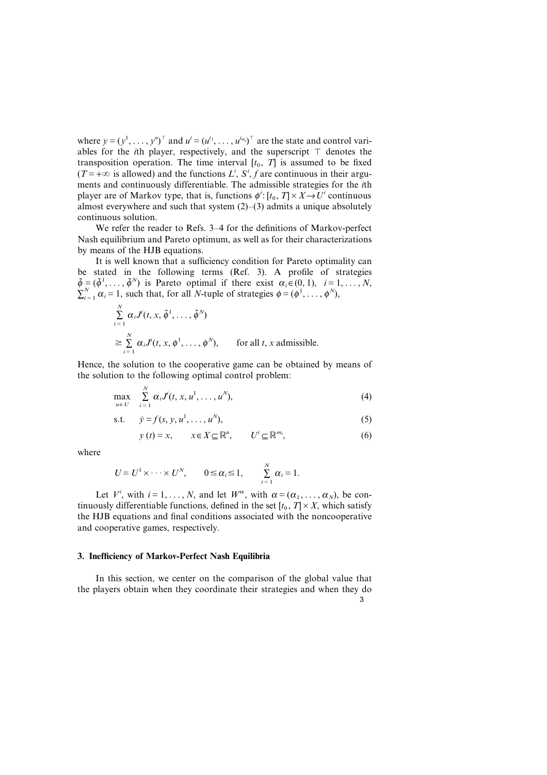where  $y = (y^1, \ldots, y^n)^\top$  and  $u^i = (u^{i_1}, \ldots, u^{i_{m_i}})^\top$  are the state and control variables for the *i*th player, respectively, and the superscript  $\top$  denotes the transposition operation. The time interval  $[t_0, T]$  is assumed to be fixed  $(T = +\infty$  is allowed) and the functions  $L^i$ ,  $S^i$ ,  $f$  are continuous in their arguments and continuously differentiable. The admissible strategies for the *i*th player are of Markov type, that is, functions  $\phi'$ : [ $t_0$ ,  $T$ ]  $\times$   $X \rightarrow U'$  continuous almost everywhere and such that system  $(2)$ – $(3)$  admits a unique absolutely continuous solution.

We refer the reader to Refs. 3–4 for the definitions of Markov-perfect Nash equilibrium and Pareto optimum, as well as for their characterizations by means of the HJB equations.

It is well known that a sufficiency condition for Pareto optimality can be stated in the following terms (Ref. 3). A profile of strategies  $\tilde{\phi} = (\tilde{\phi}^1, \ldots, \tilde{\phi}^N)$  is Pareto optimal if there exist  $\alpha_i \in (0, 1), i = 1, \ldots, N$ ,  $\sum_{i=1}^{N} \alpha_i = 1$ , such that, for all *N*-tuple of strategies  $\phi = (\phi^1, \dots, \phi^N)$ ,

$$
\sum_{i=1}^{N} \alpha_i J^{i}(t, x, \tilde{\phi}^{1}, \dots, \tilde{\phi}^{N})
$$
\n
$$
\geq \sum_{i=1}^{N} \alpha_i J^{i}(t, x, \phi^{1}, \dots, \phi^{N}), \qquad \text{for all } t, x \text{ admissible.}
$$

Hence, the solution to the cooperative game can be obtained by means of the solution to the following optimal control problem:

$$
\max_{u \in U} \sum_{i=1}^N \alpha_i J^i(t, x, u^1, \dots, u^N), \tag{4}
$$

s.t. 
$$
y = f(s, y, u^1, ..., u^N)
$$
, (5)

$$
y(t) = x, \qquad x \in X \subseteq \mathbb{R}^n, \qquad U^i \subseteq \mathbb{R}^{m_i}, \tag{6}
$$

where

$$
U = U^1 \times \cdots \times U^N, \qquad 0 \leq \alpha_i \leq 1, \qquad \sum_{i=1}^N \alpha_i = 1.
$$

Let  $V^i$ , with  $i=1,\ldots,N$ , and let  $W^{\alpha}$ , with  $\alpha=(\alpha_1,\ldots,\alpha_N)$ , be continuously differentiable functions, defined in the set  $[t_0, T] \times X$ , which satisfy the HJB equations and final conditions associated with the noncooperative and cooperative games, respectively.

### **3. Inefficiency of Markov-Perfect Nash Equilibria**

In this section, we center on the comparison of the global value that the players obtain when they coordinate their strategies and when they do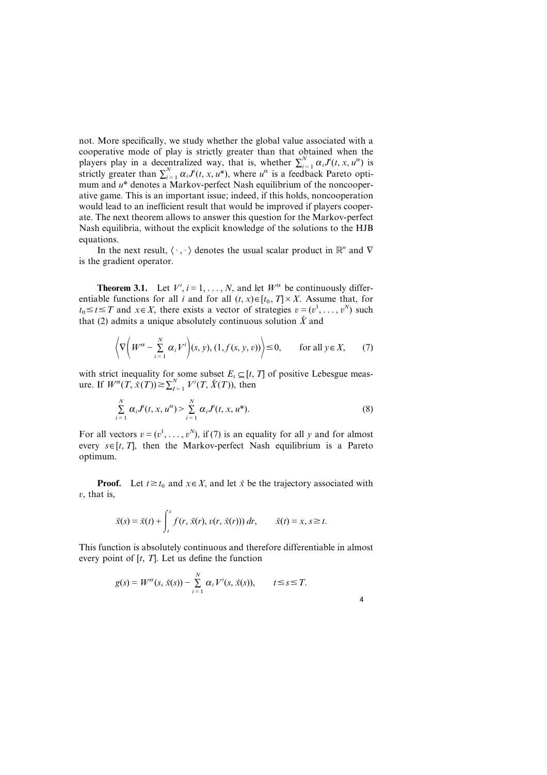not. More specifically, we study whether the global value associated with a cooperative mode of play is strictly greater than that obtained when the players play in a decentralized way, that is, whether  $\sum_{i=1}^{N} \alpha_i J^i(t, x, u^{\alpha})$  is strictly greater than  $\sum_{i=1}^{N} \alpha_i J^i(t, x, u^*)$ , where  $u^{\alpha}$  is a feedback Pareto optimum and *u*\* denotes a Markov-perfect Nash equilibrium of the noncooperative game. This is an important issue; indeed, if this holds, noncooperation would lead to an inefficient result that would be improved if players cooperate. The next theorem allows to answer this question for the Markov-perfect Nash equilibria, without the explicit knowledge of the solutions to the HJB equations.

In the next result,  $\langle \cdot, \cdot \rangle$  denotes the usual scalar product in  $\mathbb{R}^n$  and  $\nabla$ is the gradient operator.

**Theorem 3.1.** Let  $V^i$ ,  $i = 1, ..., N$ , and let  $W^{\alpha}$  be continuously differentiable functions for all *i* and for all  $(t, x) \in [t_0, T] \times X$ . Assume that, for  $t_0 \le t \le T$  and  $x \in X$ , there exists a vector of strategies  $v = (v^1, \ldots, v^N)$  such that (2) admits a unique absolutely continuous solution  $\check{X}$  and

$$
\left\langle \nabla \left( W^{\alpha} - \sum_{i=1}^{N} \alpha_{i} V^{i} \right) (s, y), (1, f(s, y, v)) \right\rangle \leq 0, \quad \text{for all } y \in X, \tag{7}
$$

with strict inequality for some subset  $E_t \subseteq [t, T]$  of positive Lebesgue measure. If  $W^{\alpha}(T, \dot{x}(T)) \ge \sum_{I=1}^{N} V^{i}(T, \dot{X}(T))$ , then

$$
\sum_{i=1}^{N} \alpha_i J^{i}(t, x, u^{\alpha}) > \sum_{i=1}^{N} \alpha_i J^{i}(t, x, u^{*}).
$$
\n(8)

For all vectors  $v = (v^1, \dots, v^N)$ , if (7) is an equality for all *y* and for almost every  $s \in [t, T]$ , then the Markov-perfect Nash equilibrium is a Pareto optimum.

**Proof.** Let  $t \ge t_0$  and  $x \in X$ , and let  $\check{x}$  be the trajectory associated with  $v$ , that is,

$$
\check{x}(s) = \check{x}(t) + \int_{t}^{s} f(r, \check{x}(r), v(r, \check{x}(r))) dr, \qquad \check{x}(t) = x, s \ge t.
$$

This function is absolutely continuous and therefore differentiable in almost every point of  $[t, T]$ . Let us define the function

$$
g(s) = W^{\alpha}(s, \check{x}(s)) - \sum_{i=1}^{N} \alpha_i V^i(s, \check{x}(s)), \qquad t \leq s \leq T.
$$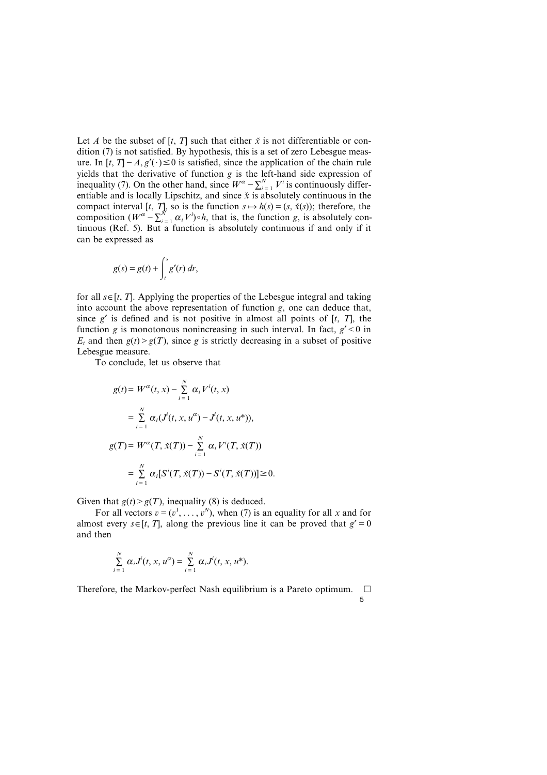Let *A* be the subset of  $[t, T]$  such that either  $\check{x}$  is not differentiable or condition (7) is not satisfied. By hypothesis, this is a set of zero Lebesgue measure. In  $[t, T] - A$ ,  $g'(\cdot) \le 0$  is satisfied, since the application of the chain rule yields that the derivative of function *g* is the left-hand side expression of inequality (7). On the other hand, since  $W^{\alpha} - \sum_{i=1}^{N} V^i$  is continuously differentiable and is locally Lipschitz, and since  $\dot{x}$  is absolutely continuous in the compact interval [*t*, *T*], so is the function  $s \mapsto h(s) = (s, \dot{x}(s))$ ; therefore, the composition  $(W^{\alpha} - \sum_{i=1}^{N} \alpha_i V^i) \circ h$ , that is, the function *g*, is absolutely continuous (Ref. 5). But a function is absolutely continuous if and only if it can be expressed as

$$
g(s) = g(t) + \int_t^s g'(r) dr,
$$

for all  $s \in [t, T]$ . Applying the properties of the Lebesgue integral and taking into account the above representation of function *g*, one can deduce that, since  $g'$  is defined and is not positive in almost all points of  $[t, T]$ , the function *g* is monotonous nonincreasing in such interval. In fact,  $g' < 0$  in  $E_t$  and then  $g(t) > g(T)$ , since *g* is strictly decreasing in a subset of positive Lebesgue measure.

To conclude, let us observe that

$$
g(t) = W^{\alpha}(t, x) - \sum_{i=1}^{N} \alpha_{i} V^{i}(t, x)
$$
  
=  $\sum_{i=1}^{N} \alpha_{i} (J^{i}(t, x, u^{\alpha}) - J^{i}(t, x, u^{*})),$   

$$
g(T) = W^{\alpha}(T, \check{x}(T)) - \sum_{i=1}^{N} \alpha_{i} V^{i}(T, \check{x}(T))
$$
  
=  $\sum_{i=1}^{N} \alpha_{i} [S^{i}(T, \check{x}(T)) - S^{i}(T, \check{x}(T))] \ge 0.$ 

Given that  $g(t) > g(T)$ , inequality (8) is deduced.

For all vectors  $v = (v^1, \ldots, v^N)$ , when (7) is an equality for all *x* and for almost every  $s \in [t, T]$ , along the previous line it can be proved that  $g' = 0$ and then

$$
\sum_{i=1}^N \alpha_i J^i(t, x, u^{\alpha}) = \sum_{i=1}^N \alpha_i J^i(t, x, u^*).
$$

Therefore, the Markov-perfect Nash equilibrium is a Pareto optimum.  $\Box$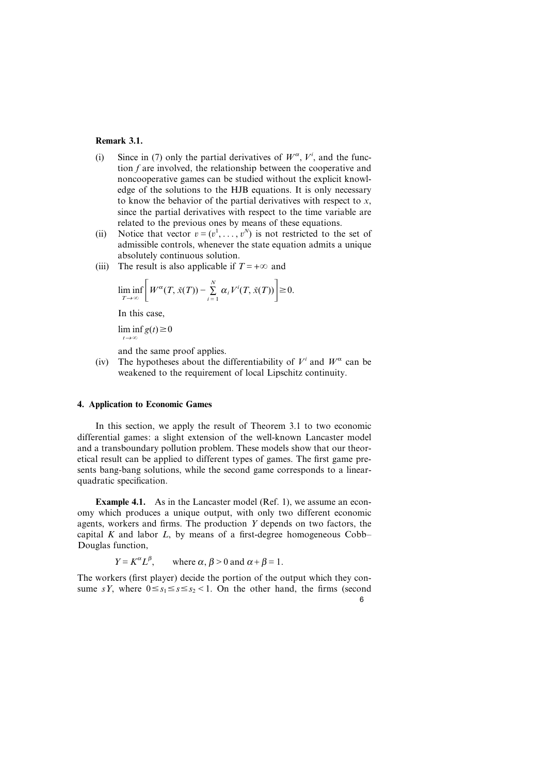## **Remark 3.1.**

- (i) Since in (7) only the partial derivatives of  $W^{\alpha}$ ,  $V^i$ , and the function *f* are involved, the relationship between the cooperative and noncooperative games can be studied without the explicit knowledge of the solutions to the HJB equations. It is only necessary to know the behavior of the partial derivatives with respect to *x*, since the partial derivatives with respect to the time variable are related to the previous ones by means of these equations.
- (ii) Notice that vector  $v = (v^1, \dots, v^N)$  is not restricted to the set of admissible controls, whenever the state equation admits a unique absolutely continuous solution.
- (iii) The result is also applicable if  $T = +\infty$  and

$$
\liminf_{T\to\infty}\bigg[W^{\alpha}(T,\check{x}(T))-\sum_{i=1}^N\alpha_iV^i(T,\check{x}(T))\bigg]\geq 0.
$$

In this case,

 $\liminf g(t) \ge 0$  $t\rightarrow\infty$ 

and the same proof applies.

(iv) The hypotheses about the differentiability of  $V^i$  and  $W^{\alpha}$  can be weakened to the requirement of local Lipschitz continuity.

## **4. Application to Economic Games**

In this section, we apply the result of Theorem 3.1 to two economic differential games: a slight extension of the well-known Lancaster model and a transboundary pollution problem. These models show that our theoretical result can be applied to different types of games. The first game presents bang-bang solutions, while the second game corresponds to a linearquadratic specification.

**Example 4.1.** As in the Lancaster model (Ref. 1), we assume an economy which produces a unique output, with only two different economic agents, workers and firms. The production *Y* depends on two factors, the capital *K* and labor *L*, by means of a first-degree homogeneous Cobb– Douglas function,

$$
Y = K^{\alpha} L^{\beta}
$$
, where  $\alpha, \beta > 0$  and  $\alpha + \beta = 1$ .

The workers (first player) decide the portion of the output which they consume *sY*, where  $0 \le s_1 \le s \le s_2 < 1$ . On the other hand, the firms (second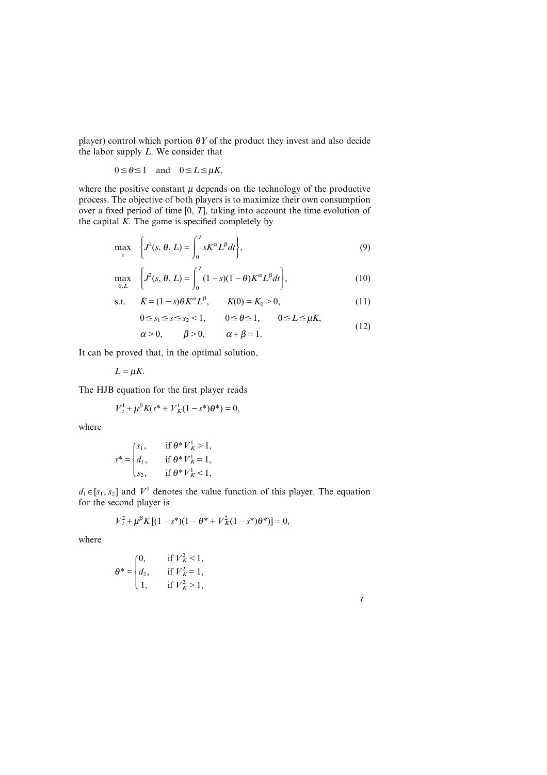player) control which portion  $\theta Y$  of the product they invest and also decide the labor supply *L*. We consider that

$$
0 \le \theta \le 1
$$
 and  $0 \le L \le \mu K$ ,

where the positive constant  $\mu$  depends on the technology of the productive process. The objective of both players is to maximize their own consumption over a fixed period of time [0, *T*], taking into account the time evolution of the capital  $K$ . The game is specified completely by

$$
\max_{s} \quad \left\{ J^{1}(s, \theta, L) = \int_{0}^{T} sK^{\alpha} L^{\beta} dt \right\},
$$
\n(9)

$$
\max_{\theta, L} \quad \left\{ J^2(s, \theta, L) = \int_0^T (1 - s)(1 - \theta) K^\alpha L^\beta dt \right\},\tag{10}
$$

s.t. 
$$
\dot{K} = (1 - s)\theta K^{\alpha}L^{\beta}, \qquad K(0) = K_0 > 0,
$$
 (11)

$$
0 \le s_1 \le s \le s_2 < 1, \qquad 0 \le \theta \le 1, \qquad 0 \le L \le \mu K,\tag{12}
$$

 $\alpha > 0$ ,  $\beta > 0$ ,  $\alpha + \beta = 1$ .

It can be proved that, in the optimal solution,

 $L = uK$ .

The HJB equation for the first player reads

$$
V_t^1 + \mu^{\beta} K(s^* + V_K^1(1 - s^*)\theta^*) = 0,
$$

where

$$
s^* = \begin{cases} s_1, & \text{if } \theta^* V_K^1 > 1, \\ d_1, & \text{if } \theta^* V_K^1 = 1, \\ s_2, & \text{if } \theta^* V_K^1 < 1, \end{cases}
$$

 $d_1 \in [s_1, s_2]$  and  $V^1$  denotes the value function of this player. The equation for the second player is

$$
V_t^2 + \mu^{\beta} K \left[ (1 - s^*)(1 - \theta^* + V_K^2 (1 - s^*) \theta^*) \right] = 0,
$$

where

$$
\theta^* = \begin{cases} 0, & \text{if } V_K^2 < 1, \\ d_2, & \text{if } V_K^2 = 1, \\ 1, & \text{if } V_K^2 > 1, \end{cases}
$$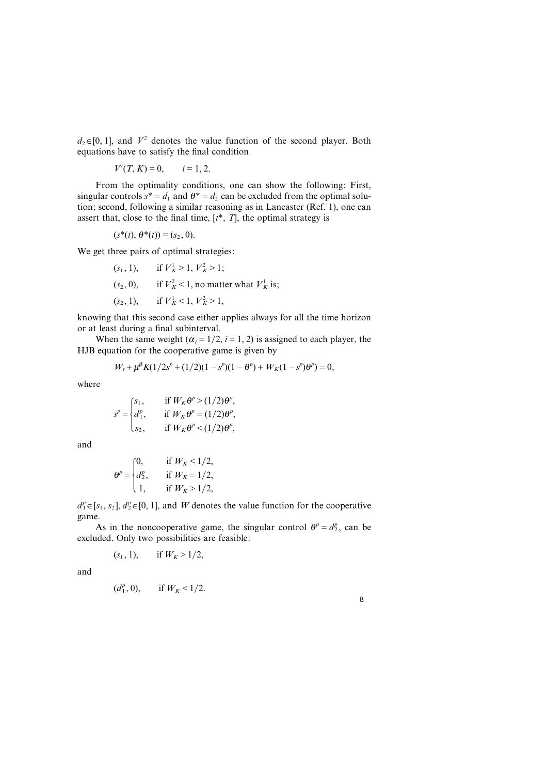$d_2 \in [0, 1]$ , and  $V^2$  denotes the value function of the second player. Both equations have to satisfy the final condition

$$
V^{i}(T, K) = 0, \quad i = 1, 2.
$$

From the optimality conditions, one can show the following: First, singular controls  $s^* = d_1$  and  $\theta^* = d_2$  can be excluded from the optimal solution; second, following a similar reasoning as in Lancaster (Ref. 1), one can assert that, close to the final time,  $[t^*, T]$ , the optimal strategy is

$$
(s^*(t), \theta^*(t)) = (s_2, 0).
$$

We get three pairs of optimal strategies:

 $(s_1, 1),$  if  $V_K^1 > 1, V_K^2 > 1;$  $(s_2, 0)$ , if  $V_K^2 < 1$ , no matter what  $V_K^1$  is;  $(s_2, 1),$  if  $V_K^1 < 1, V_K^2 > 1,$ 

knowing that this second case either applies always for all the time horizon or at least during a final subinterval.

When the same weight ( $\alpha_i = 1/2$ ,  $i = 1, 2$ ) is assigned to each player, the HJB equation for the cooperative game is given by

$$
W_t + \mu^{\beta} K (1/2s^p + (1/2)(1 - s^p)(1 - \theta^p) + W_K (1 - s^p)\theta^p) = 0,
$$

where

$$
s^{p} = \begin{cases} s_{1}, & \text{if } W_{K} \theta^{p} > (1/2) \theta^{p}, \\ d_{1}^{p}, & \text{if } W_{K} \theta^{p} = (1/2) \theta^{p}, \\ s_{2}, & \text{if } W_{K} \theta^{p} < (1/2) \theta^{p}, \end{cases}
$$

and

$$
\theta^{p} = \begin{cases} 0, & \text{if } W_{K} < 1/2, \\ d_{2}^{p}, & \text{if } W_{K} = 1/2, \\ 1, & \text{if } W_{K} > 1/2, \end{cases}
$$

 $d_1^p \in [s_1, s_2]$ ,  $d_2^p \in [0, 1]$ , and *W* denotes the value function for the cooperative game.

As in the noncooperative game, the singular control  $\theta^p = d_2^p$ , can be excluded. Only two possibilities are feasible:

$$
(s_1, 1)
$$
, if  $W_K > 1/2$ ,

and

$$
(d_1^p, 0)
$$
, if  $W_K < 1/2$ .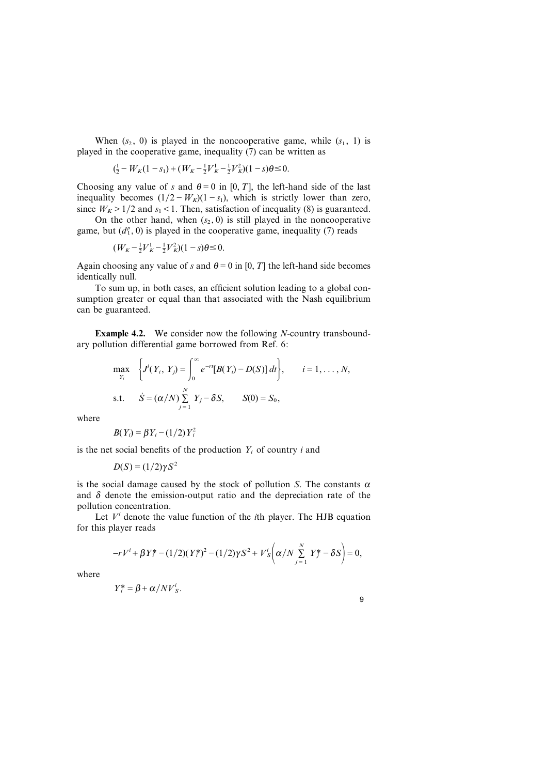When  $(s_2, 0)$  is played in the noncooperative game, while  $(s_1, 1)$  is played in the cooperative game, inequality (7) can be written as

$$
(\frac{1}{2} - W_K(1 - s_1) + (W_K - \frac{1}{2}V_K^1 - \frac{1}{2}V_K^2)(1 - s)\theta \le 0.
$$

Choosing any value of *s* and  $\theta = 0$  in [0, *T*], the left-hand side of the last inequality becomes  $(1/2-W_K)(1-s_1)$ , which is strictly lower than zero, since  $W_K > 1/2$  and  $s_1 < 1$ . Then, satisfaction of inequality (8) is guaranteed.

On the other hand, when  $(s_2, 0)$  is still played in the noncooperative game, but  $(d_1^p, 0)$  is played in the cooperative game, inequality (7) reads

$$
(W_K - \frac{1}{2}V_K^1 - \frac{1}{2}V_K^2)(1 - s)\theta \le 0.
$$

Again choosing any value of *s* and  $\theta = 0$  in [0, *T*] the left-hand side becomes identically null.

To sum up, in both cases, an efficient solution leading to a global consumption greater or equal than that associated with the Nash equilibrium can be guaranteed.

**Example 4.2.** We consider now the following *N*-country transboundary pollution differential game borrowed from Ref. 6:

$$
\max_{Y_i} \quad \left\{ J^i(Y_i, Y_j) = \int_0^\infty e^{-rt} [B(Y_i) - D(S)] \, dt \right\}, \qquad i = 1, \ldots, N,
$$
\n
$$
\text{s.t.} \quad \dot{S} = (\alpha/N) \sum_{j=1}^N Y_j - \delta S, \qquad S(0) = S_0,
$$

where

$$
B(Y_i) = \beta Y_i - (1/2) Y_i^2
$$

is the net social benefits of the production *Yi* of country *i* and

$$
D(S) = (1/2)\gamma S^2
$$

is the social damage caused by the stock of pollution *S*. The constants  $\alpha$ and  $\delta$  denote the emission-output ratio and the depreciation rate of the pollution concentration.

Let  $V^i$  denote the value function of the *i*th player. The HJB equation for this player reads

$$
-rV^{i} + \beta Y_{i}^{*} - (1/2)(Y_{i}^{*})^{2} - (1/2)\gamma S^{2} + V_{S}^{i}\left(\alpha/N\sum_{j=1}^{N}Y_{j}^{*} - \delta S\right) = 0,
$$

where

$$
Y_i^* = \beta + \alpha / NV_s^i.
$$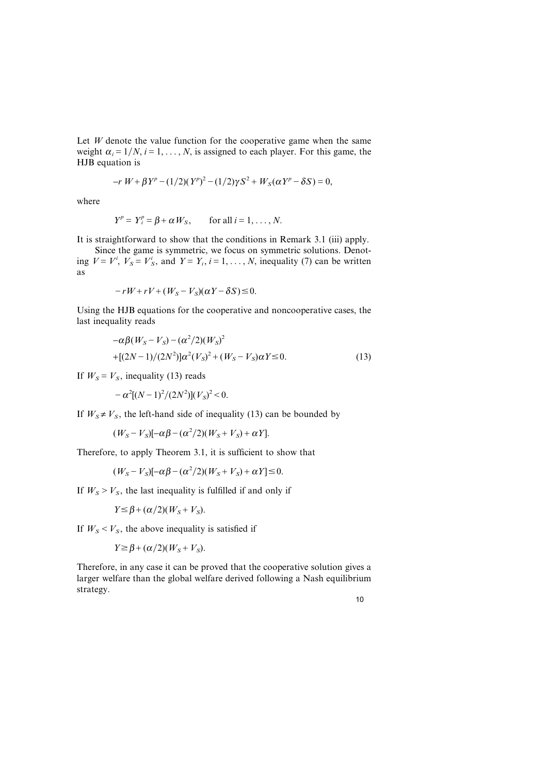Let *W* denote the value function for the cooperative game when the same weight  $\alpha_i = 1/N$ ,  $i = 1, ..., N$ , is assigned to each player. For this game, the HJB equation is

$$
-r W + \beta Y^{p} - (1/2)(Y^{p})^{2} - (1/2)\gamma S^{2} + W_{S}(\alpha Y^{p} - \delta S) = 0,
$$

where

$$
Y^p = Y_i^p = \beta + \alpha W_S, \quad \text{for all } i = 1, \ldots, N.
$$

It is straightforward to show that the conditions in Remark 3.1 (iii) apply.

Since the game is symmetric, we focus on symmetric solutions. Denoting  $V = V^i$ ,  $V_s = V^i$ , and  $Y = Y_i$ ,  $i = 1, ..., N$ , inequality (7) can be written as

$$
-rW + rV + (W_S - V_S)(\alpha Y - \delta S) \leq 0.
$$

Using the HJB equations for the cooperative and noncooperative cases, the last inequality reads

$$
-\alpha\beta(W_S - V_S) - (\alpha^2/2)(W_S)^2
$$
  
+[(2N-1)/(2N^2)]\alpha^2(V\_S)^2 + (W\_S - V\_S)\alpha Y \le 0. (13)

If  $W_s = V_s$ , inequality (13) reads

$$
-\alpha^2[(N-1)^2/(2N^2)](V_s)^2<0.
$$

If  $W_s \neq V_s$ , the left-hand side of inequality (13) can be bounded by

$$
(WS - VS)[-\alpha\beta - (\alpha^2/2)(WS + VS) + \alpha Y].
$$

Therefore, to apply Theorem 3.1, it is sufficient to show that

$$
(WS - VS)[-\alpha\beta - (\alpha^2/2)(WS + VS) + \alpha Y] \le 0.
$$

If  $W<sub>S</sub> > V<sub>S</sub>$ , the last inequality is fulfilled if and only if

$$
Y \leq \beta + (\alpha/2)(W_S + V_S).
$$

If  $W<sub>S</sub> < V<sub>S</sub>$ , the above inequality is satisfied if

$$
Y \geq \beta + (\alpha/2)(W_S + V_S).
$$

Therefore, in any case it can be proved that the cooperative solution gives a larger welfare than the global welfare derived following a Nash equilibrium strategy.